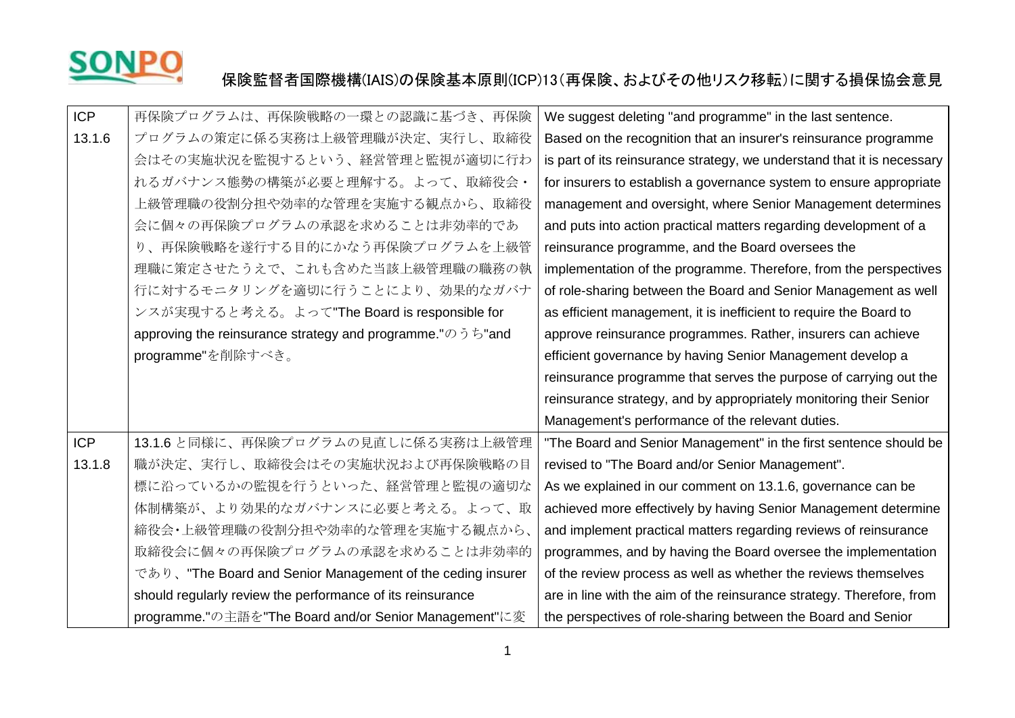

## SONPO 保険監督者国際機構(IAIS)の保険基本原則(ICP)13(再保険、およびその他リスク移転)に関する損保協会意見

| <b>ICP</b> | 再保険プログラムは、再保険戦略の一環との認識に基づき、再保険                             | We suggest deleting "and programme" in the last sentence.               |
|------------|------------------------------------------------------------|-------------------------------------------------------------------------|
| 13.1.6     | プログラムの策定に係る実務は上級管理職が決定、実行し、取締役                             | Based on the recognition that an insurer's reinsurance programme        |
|            | 会はその実施状況を監視するという、経営管理と監視が適切に行わ                             | is part of its reinsurance strategy, we understand that it is necessary |
|            | れるガバナンス態勢の構築が必要と理解する。よって、取締役会・                             | for insurers to establish a governance system to ensure appropriate     |
|            | 上級管理職の役割分担や効率的な管理を実施する観点から、取締役                             | management and oversight, where Senior Management determines            |
|            | 会に個々の再保険プログラムの承認を求めることは非効率的であ                              | and puts into action practical matters regarding development of a       |
|            | り、再保険戦略を遂行する目的にかなう再保険プログラムを上級管                             | reinsurance programme, and the Board oversees the                       |
|            | 理職に策定させたうえで、これも含めた当該上級管理職の職務の執                             | implementation of the programme. Therefore, from the perspectives       |
|            | 行に対するモニタリングを適切に行うことにより、効果的なガバナ                             | of role-sharing between the Board and Senior Management as well         |
|            | ンスが実現すると考える。よって"The Board is responsible for               | as efficient management, it is inefficient to require the Board to      |
|            | approving the reinsurance strategy and programme."のうち"and  | approve reinsurance programmes. Rather, insurers can achieve            |
|            | programme"を削除すべき。                                          | efficient governance by having Senior Management develop a              |
|            |                                                            | reinsurance programme that serves the purpose of carrying out the       |
|            |                                                            | reinsurance strategy, and by appropriately monitoring their Senior      |
|            |                                                            | Management's performance of the relevant duties.                        |
| ICP        | 13.1.6と同様に、再保険プログラムの見直しに係る実務は上級管理                          | "The Board and Senior Management" in the first sentence should be       |
| 13.1.8     | 職が決定、実行し、取締役会はその実施状況および再保険戦略の目                             | revised to "The Board and/or Senior Management".                        |
|            | 標に沿っているかの監視を行うといった、経営管理と監視の適切な                             | As we explained in our comment on 13.1.6, governance can be             |
|            | 体制構築が、より効果的なガバナンスに必要と考える。よって、取                             | achieved more effectively by having Senior Management determine         |
|            | 締役会・上級管理職の役割分担や効率的な管理を実施する観点から、                            | and implement practical matters regarding reviews of reinsurance        |
|            | 取締役会に個々の再保険プログラムの承認を求めることは非効率的                             | programmes, and by having the Board oversee the implementation          |
|            | であり、"The Board and Senior Management of the ceding insurer | of the review process as well as whether the reviews themselves         |
|            | should regularly review the performance of its reinsurance | are in line with the aim of the reinsurance strategy. Therefore, from   |
|            | programme."の主語を"The Board and/or Senior Management"に変      | the perspectives of role-sharing between the Board and Senior           |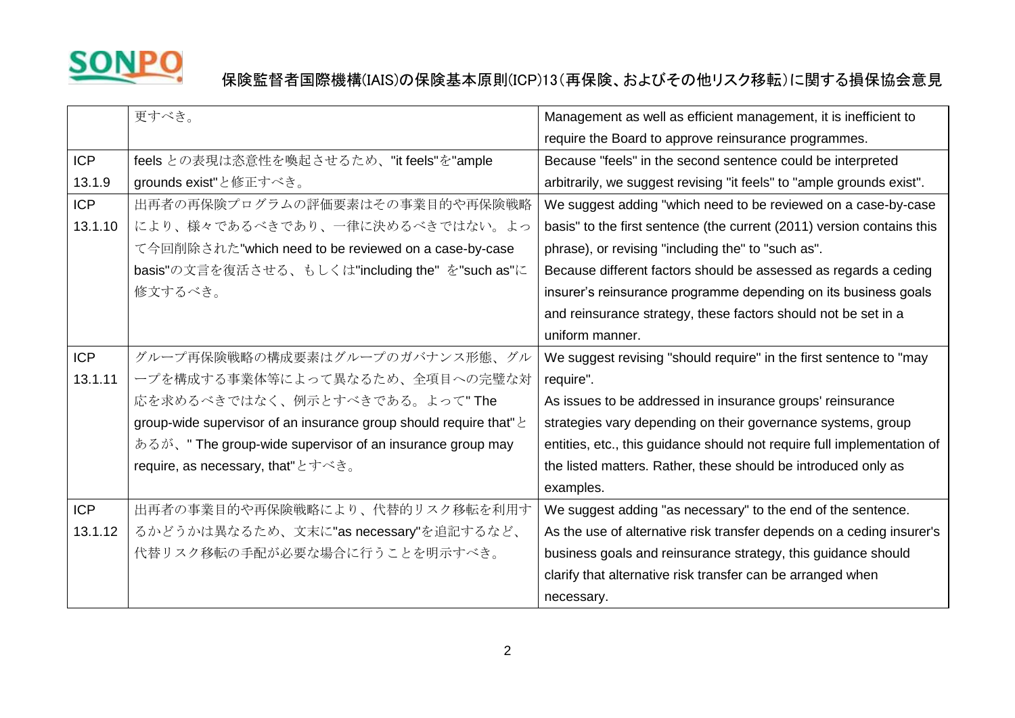

## SONPO 保険監督者国際機構(IAIS)の保険基本原則(ICP)13(再保険、およびその他リスク移転)に関する損保協会意見

|            | 更すべき。                                                                   | Management as well as efficient management, it is inefficient to        |
|------------|-------------------------------------------------------------------------|-------------------------------------------------------------------------|
|            |                                                                         | require the Board to approve reinsurance programmes.                    |
| <b>ICP</b> | feels との表現は恣意性を喚起させるため、"it feels"を"ample                                | Because "feels" in the second sentence could be interpreted             |
| 13.1.9     | grounds exist"と修正すべき。                                                   | arbitrarily, we suggest revising "it feels" to "ample grounds exist".   |
| <b>ICP</b> | 出再者の再保険プログラムの評価要素はその事業目的や再保険戦略                                          | We suggest adding "which need to be reviewed on a case-by-case          |
| 13.1.10    | により、様々であるべきであり、一律に決めるべきではない。よっ                                          | basis" to the first sentence (the current (2011) version contains this  |
|            | て今回削除された"which need to be reviewed on a case-by-case                    | phrase), or revising "including the" to "such as".                      |
|            | basis"の文言を復活させる、もしくは"including the" を"such as"に                         | Because different factors should be assessed as regards a ceding        |
|            | 修文するべき。                                                                 | insurer's reinsurance programme depending on its business goals         |
|            |                                                                         | and reinsurance strategy, these factors should not be set in a          |
|            |                                                                         | uniform manner.                                                         |
| <b>ICP</b> | グループ再保険戦略の構成要素はグループのガバナンス形態、グル                                          | We suggest revising "should require" in the first sentence to "may      |
| 13.1.11    | ープを構成する事業体等によって異なるため、全項目への完璧な対                                          | require".                                                               |
|            | 応を求めるべきではなく、例示とすべきである。よって"The                                           | As issues to be addressed in insurance groups' reinsurance              |
|            | group-wide supervisor of an insurance group should require that" $\geq$ | strategies vary depending on their governance systems, group            |
|            | あるが、" The group-wide supervisor of an insurance group may               | entities, etc., this guidance should not require full implementation of |
|            | require, as necessary, that" とすべき。                                      | the listed matters. Rather, these should be introduced only as          |
|            |                                                                         | examples.                                                               |
| <b>ICP</b> | 出再者の事業目的や再保険戦略により、代替的リスク移転を利用す                                          | We suggest adding "as necessary" to the end of the sentence.            |
| 13.1.12    | るかどうかは異なるため、文末に"as necessary"を追記するなど、                                   | As the use of alternative risk transfer depends on a ceding insurer's   |
|            | 代替リスク移転の手配が必要な場合に行うことを明示すべき。                                            | business goals and reinsurance strategy, this guidance should           |
|            |                                                                         | clarify that alternative risk transfer can be arranged when             |
|            |                                                                         | necessary.                                                              |